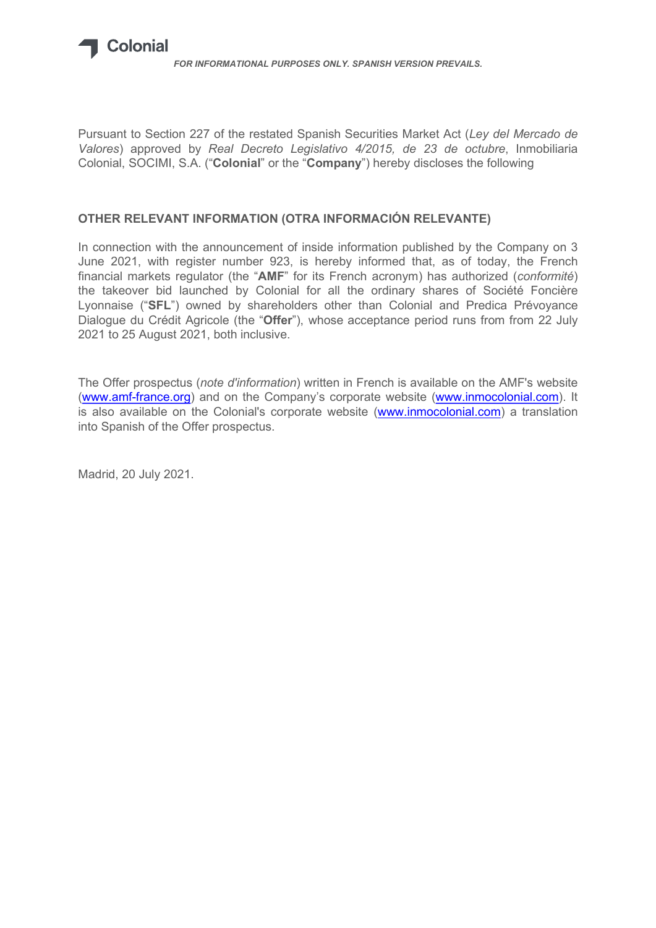

Pursuant to Section 227 of the restated Spanish Securities Market Act (Ley del Mercado de Valores) approved by Real Decreto Legislativo 4/2015, de 23 de octubre, Inmobiliaria Colonial, SOCIMI, S.A. ("Colonial" or the "Company") hereby discloses the following

## OTHER RELEVANT INFORMATION (OTRA INFORMACIÓN RELEVANTE)

In connection with the announcement of inside information published by the Company on 3 June 2021, with register number 923, is hereby informed that, as of today, the French financial markets regulator (the "AMF" for its French acronym) has authorized (conformité) the takeover bid launched by Colonial for all the ordinary shares of Société Foncière Lyonnaise ("SFL") owned by shareholders other than Colonial and Predica Prévoyance Dialogue du Crédit Agricole (the "Offer"), whose acceptance period runs from from 22 July 2021 to 25 August 2021, both inclusive.

The Offer prospectus (note d'information) written in French is available on the AMF's website (www.amf-france.org) and on the Company's corporate website (www.inmocolonial.com). It is also available on the Colonial's corporate website (www.inmocolonial.com) a translation into Spanish of the Offer prospectus.

Madrid, 20 July 2021.